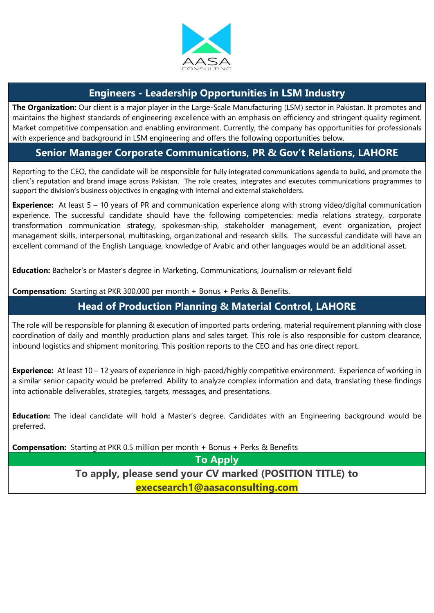

#### **Engineers - Leadership Opportunities in LSM Industry**

**The Organization:** Our client is a major player in the Large-Scale Manufacturing (LSM) sector in Pakistan. It promotes and maintains the highest standards of engineering excellence with an emphasis on efficiency and stringent quality regiment. Market competitive compensation and enabling environment. Currently, the company has opportunities for professionals with experience and background in LSM engineering and offers the following opportunities below.

### **Senior Manager Corporate Communications, PR & Gov't Relations, LAHORE**

Reporting to the CEO, the candidate will be responsible for fully integrated communications agenda to build, and promote the client's reputation and brand image across Pakistan. The role creates, integrates and executes communications programmes to support the division's business objectives in engaging with internal and external stakeholders.

**Experience:** At least 5 – 10 years of PR and communication experience along with strong video/digital communication experience. The successful candidate should have the following competencies: media relations strategy, corporate transformation communication strategy, spokesman-ship, stakeholder management, event organization, project management skills, interpersonal, multitasking, organizational and research skills. The successful candidate will have an excellent command of the English Language, knowledge of Arabic and other languages would be an additional asset.

**Education:** Bachelor's or Master's degree in Marketing, Communications, Journalism or relevant field

**Compensation:** Starting at PKR 300,000 per month + Bonus + Perks & Benefits.

# **Head of Production Planning & Material Control, LAHORE**

The role will be responsible for planning & execution of imported parts ordering, material requirement planning with close coordination of daily and monthly production plans and sales target. This role is also responsible for custom clearance, inbound logistics and shipment monitoring. This position reports to the CEO and has one direct report.

**Experience:** At least 10 – 12 years of experience in high-paced/highly competitive environment. Experience of working in a similar senior capacity would be preferred. Ability to analyze complex information and data, translating these findings into actionable deliverables, strategies, targets, messages, and presentations.

**Education:** The ideal candidate will hold a Master's degree. Candidates with an Engineering background would be preferred.

**Compensation:** Starting at PKR 0.5 million per month + Bonus + Perks & Benefits

**To Apply**

**To apply, please send your CV marked (POSITION TITLE) to execsearch1@aasaconsulting.com**